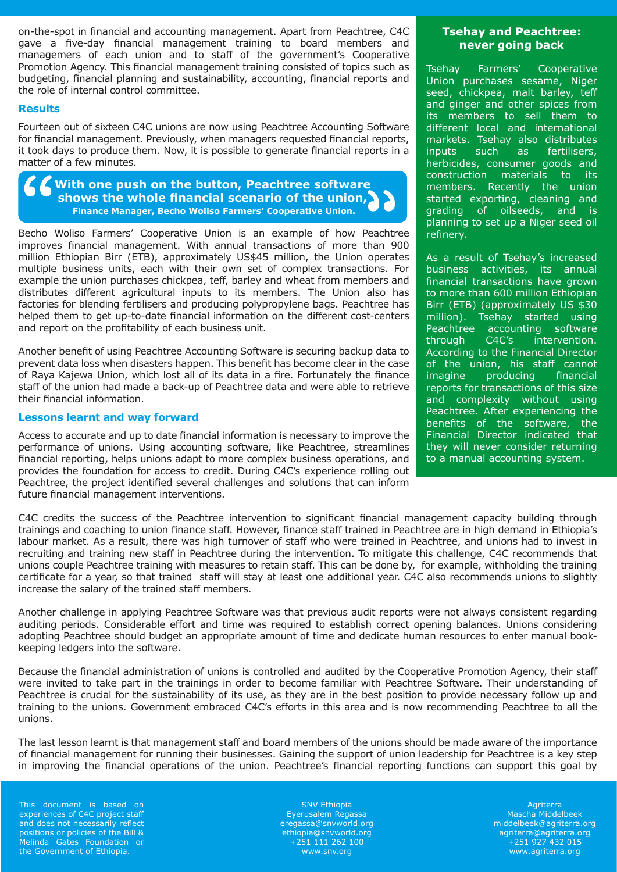on-the-spot in financial and accounting management. Apart from Peachtree, C4C gave a five-day financial management training to board members and managemers of each union and to staff of the government's Cooperative Promotion Agency. This financial management training consisted of topics such as budgeting, financial planning and sustainability, accounting, financial reports and the role of internal control committee.

### **Results**

Fourteen out of sixteen C4C unions are now using Peachtree Accounting Software for financial management. Previously, when managers requested financial reports, it took days to produce them. Now, it is possible to generate financial reports in a matter of a few minutes.



Becho Woliso Farmers' Cooperative Union is an example of how Peachtree improves financial management. With annual transactions of more than 900 million Ethiopian Birr (ETB), approximately US\$45 million, the Union operates multiple business units, each with their own set of complex transactions. For example the union purchases chickpea, teff, barley and wheat from members and distributes different agricultural inputs to its members. The Union also has factories for blending fertilisers and producing polypropylene bags. Peachtree has helped them to get up-to-date financial information on the different cost-centers and report on the profitability of each business unit.

Another benefit of using Peachtree Accounting Software is securing backup data to prevent data loss when disasters happen. This benefit has become clear in the case of Raya Kajewa Union, which lost all of its data in a fire. Fortunately the finance staff of the union had made a back-up of Peachtree data and were able to retrieve their financial information.

## **Lessons learnt and way forward**

Access to accurate and up to date financial information is necessary to improve the performance of unions. Using accounting software, like Peachtree, streamlines financial reporting, helps unions adapt to more complex business operations, and provides the foundation for access to credit. During C4C's experience rolling out Peachtree, the project identified several challenges and solutions that can inform future financial management interventions.

# **Tsehay and Peachtree: never going back**

Tsehay Farmers' Cooperative Union purchases sesame, Niger seed, chickpea, malt barley, teff and ginger and other spices from its members to sell them to different local and international markets. Tsehay also distributes inputs such as fertilisers, herbicides, consumer goods and construction materials to its members. Recently the union started exporting, cleaning and grading of oilseeds, and is planning to set up a Niger seed oil refinery.

As a result of Tsehay's increased business activities, its annual financial transactions have grown to more than 600 million Ethiopian Birr (ETB) (approximately US \$30 million). Tsehay started using Peachtree accounting software through C4C's intervention. According to the Financial Director of the union, his staff cannot<br>
imagine producing financial imagine producing reports for transactions of this size and complexity without using Peachtree. After experiencing the benefits of the software, the Financial Director indicated that they will never consider returning to a manual accounting system.

C4C credits the success of the Peachtree intervention to significant financial management capacity building through trainings and coaching to union finance staff. However, finance staff trained in Peachtree are in high demand in Ethiopia's labour market. As a result, there was high turnover of staff who were trained in Peachtree, and unions had to invest in recruiting and training new staff in Peachtree during the intervention. To mitigate this challenge, C4C recommends that unions couple Peachtree training with measures to retain staff. This can be done by, for example, withholding the training certificate for a year, so that trained staff will stay at least one additional year. C4C also recommends unions to slightly increase the salary of the trained staff members.

Another challenge in applying Peachtree Software was that previous audit reports were not always consistent regarding auditing periods. Considerable effort and time was required to establish correct opening balances. Unions considering adopting Peachtree should budget an appropriate amount of time and dedicate human resources to enter manual bookkeeping ledgers into the software.

Because the financial administration of unions is controlled and audited by the Cooperative Promotion Agency, their staff were invited to take part in the trainings in order to become familiar with Peachtree Software. Their understanding of Peachtree is crucial for the sustainability of its use, as they are in the best position to provide necessary follow up and training to the unions. Government embraced C4C's efforts in this area and is now recommending Peachtree to all the unions.

The last lesson learnt is that management staff and board members of the unions should be made aware of the importance of financial management for running their businesses. Gaining the support of union leadership for Peachtree is a key step in improving the financial operations of the union. Peachtree's financial reporting functions can support this goal by

This document is based on experiences of C4C project staff and does not necessarily reflect positions or policies of the Bill & Melinda Gates Foundation or the Government of Ethiopia.

SNV Ethiopia Eyerusalem Regassa eregassa@snvworld.org ethiopia@snvworld.org +251 111 262 100 www.snv.org

**Agriterra** Mascha Middelbeek middelbeek@agriterra.org agriterra@agriterra.org +251 927 432 015 www.agriterra.org